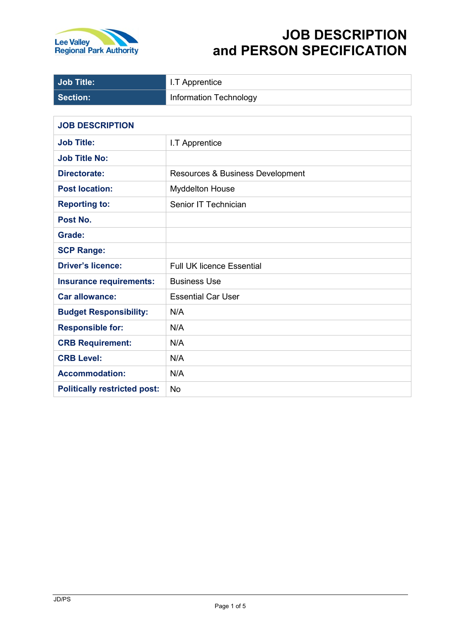

# **JOB DESCRIPTION and PERSON SPECIFICATION**

| <b>Job Title:</b>                   | I.T Apprentice                   |
|-------------------------------------|----------------------------------|
| <b>Section:</b>                     | Information Technology           |
|                                     |                                  |
| <b>JOB DESCRIPTION</b>              |                                  |
| <b>Job Title:</b>                   | I.T Apprentice                   |
| <b>Job Title No:</b>                |                                  |
| <b>Directorate:</b>                 | Resources & Business Development |
| <b>Post location:</b>               | <b>Myddelton House</b>           |
| <b>Reporting to:</b>                | Senior IT Technician             |
| Post No.                            |                                  |
| Grade:                              |                                  |
| <b>SCP Range:</b>                   |                                  |
| <b>Driver's licence:</b>            | <b>Full UK licence Essential</b> |
| <b>Insurance requirements:</b>      | <b>Business Use</b>              |
| <b>Car allowance:</b>               | <b>Essential Car User</b>        |
| <b>Budget Responsibility:</b>       | N/A                              |
| <b>Responsible for:</b>             | N/A                              |
| <b>CRB Requirement:</b>             | N/A                              |
| <b>CRB Level:</b>                   | N/A                              |
| <b>Accommodation:</b>               | N/A                              |
| <b>Politically restricted post:</b> | <b>No</b>                        |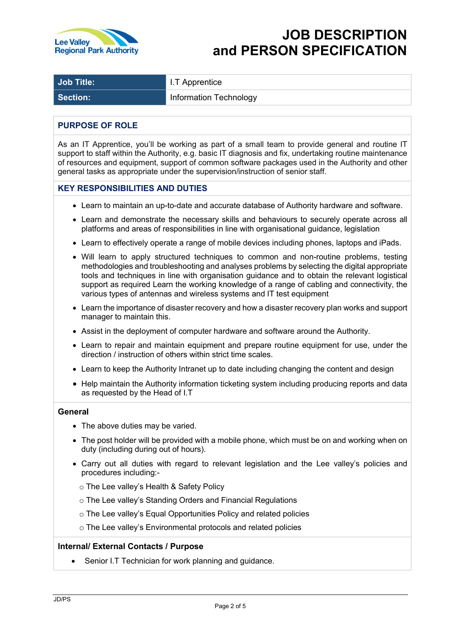

| Job Title:<br>Apprentice<br>$\cdots$ |
|--------------------------------------|
|--------------------------------------|

**Section:** Information Technology

# **PURPOSE OF ROLE**

As an IT Apprentice, you'll be working as part of a small team to provide general and routine IT support to staff within the Authority, e.g. basic IT diagnosis and fix, undertaking routine maintenance of resources and equipment, support of common software packages used in the Authority and other general tasks as appropriate under the supervision/instruction of senior staff.

# **KEY RESPONSIBILITIES AND DUTIES**

- Learn to maintain an up-to-date and accurate database of Authority hardware and software.
- Learn and demonstrate the necessary skills and behaviours to securely operate across all platforms and areas of responsibilities in line with organisational guidance, legislation
- Learn to effectively operate a range of mobile devices including phones, laptops and iPads.
- Will learn to apply structured techniques to common and non-routine problems, testing methodologies and troubleshooting and analyses problems by selecting the digital appropriate tools and techniques in line with organisation guidance and to obtain the relevant logistical support as required Learn the working knowledge of a range of cabling and connectivity, the various types of antennas and wireless systems and IT test equipment
- Learn the importance of disaster recovery and how a disaster recovery plan works and support manager to maintain this.
- Assist in the deployment of computer hardware and software around the Authority.
- Learn to repair and maintain equipment and prepare routine equipment for use, under the direction / instruction of others within strict time scales.
- Learn to keep the Authority Intranet up to date including changing the content and design
- Help maintain the Authority information ticketing system including producing reports and data as requested by the Head of I.T

## **General**

- The above duties may be varied.
- The post holder will be provided with a mobile phone, which must be on and working when on duty (including during out of hours).
- Carry out all duties with regard to relevant legislation and the Lee valley's policies and procedures including:
	- o The Lee valley's Health & Safety Policy
	- o The Lee valley's Standing Orders and Financial Regulations
	- o The Lee valley's Equal Opportunities Policy and related policies
	- o The Lee valley's Environmental protocols and related policies

## **Internal/ External Contacts / Purpose**

Senior I.T Technician for work planning and guidance.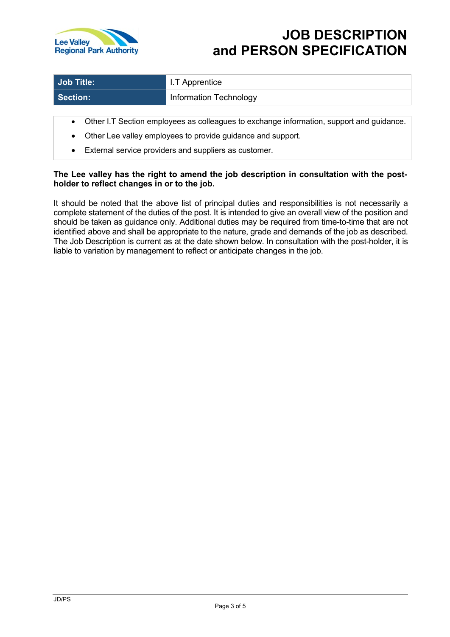

| Job Title: | I I.T Apprentice       |
|------------|------------------------|
| Section:   | Information Technology |

- Other I.T Section employees as colleagues to exchange information, support and guidance.
- Other Lee valley employees to provide guidance and support.
- External service providers and suppliers as customer.

# **The Lee valley has the right to amend the job description in consultation with the postholder to reflect changes in or to the job.**

It should be noted that the above list of principal duties and responsibilities is not necessarily a complete statement of the duties of the post. It is intended to give an overall view of the position and should be taken as guidance only. Additional duties may be required from time-to-time that are not identified above and shall be appropriate to the nature, grade and demands of the job as described. The Job Description is current as at the date shown below. In consultation with the post-holder, it is liable to variation by management to reflect or anticipate changes in the job.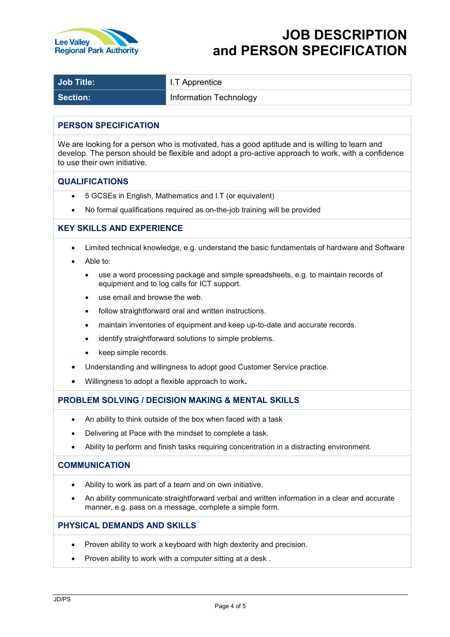

| Job Title: | I.T Apprentice                |
|------------|-------------------------------|
| Section:   | <b>Information Technology</b> |

## **PERSON SPECIFICATION**

We are looking for a person who is motivated, has a good aptitude and is willing to learn and develop. The person should be flexible and adopt a pro-active approach to work, with a confidence to use their own initiative.

#### **QUALIFICATIONS**

- 5 GCSEs in English, Mathematics and I.T (or equivalent)
- No formal qualifications required as on-the-job training will be provided

## **KEY SKILLS AND EXPERIENCE**

- Limited technical knowledge, e.g. understand the basic fundamentals of hardware and Software
- Able to:
	- use a word processing package and simple spreadsheets, e.g. to maintain records of equipment and to log calls for ICT support.
	- use email and browse the web.
	- follow straightforward oral and written instructions.
	- maintain inventories of equipment and keep up-to-date and accurate records.
	- identify straightforward solutions to simple problems.
	- keep simple records.
- Understanding and willingness to adopt good Customer Service practice.
- Willingness to adopt a flexible approach to work**.**

## **PROBLEM SOLVING / DECISION MAKING & MENTAL SKILLS**

- An ability to think outside of the box when faced with a task
- Delivering at Pace with the mindset to complete a task.
- Ability to perform and finish tasks requiring concentration in a distracting environment.

#### **COMMUNICATION**

- Ability to work as part of a team and on own initiative.
- An ability communicate straightforward verbal and written information in a clear and accurate manner, e.g. pass on a message, complete a simple form.

## **PHYSICAL DEMANDS AND SKILLS**

- Proven ability to work a keyboard with high dexterity and precision.
- Proven ability to work with a computer sitting at a desk .